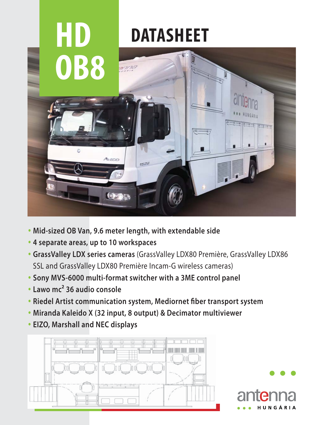

- **Mid-sized OB Van, 9.6 meter length, with extendable side**
- **4 separate areas, up to 10 workspaces**
- **GrassValley LDX series cameras** (GrassValley LDX80 Première, GrassValley LDX86 SSL and GrassValley LDX80 Première Incam-G wireless cameras)
- **Sony MVS-6000 multi-format switcher with a 3ME control panel**
- **Lawo mc² 36 audio console**
- **Riedel Artist communication system, Mediornet fiber transport system**
- **Miranda Kaleido X (32 input, 8 output) & Decimator multiviewer**
- **EIZO, Marshall and NEC displays**